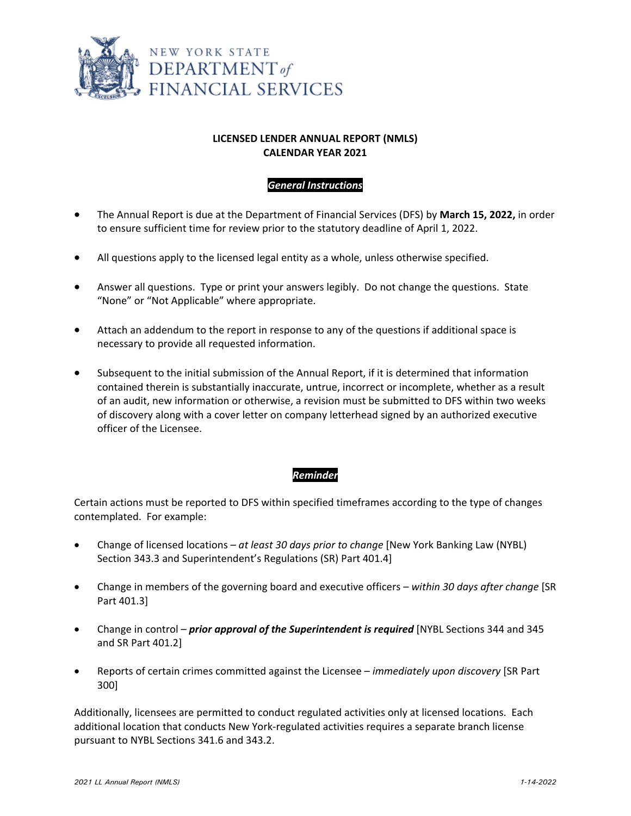

## **LICENSED LENDER ANNUAL REPORT (NMLS) CALENDAR YEAR 2021**

## *General Instructions*

- The Annual Report is due at the Department of Financial Services (DFS) by **March 15, 2022,** in order to ensure sufficient time for review prior to the statutory deadline of April 1, 2022.
- All questions apply to the licensed legal entity as a whole, unless otherwise specified.
- Answer all questions. Type or print your answers legibly. Do not change the questions. State "None" or "Not Applicable" where appropriate.
- Attach an addendum to the report in response to any of the questions if additional space is necessary to provide all requested information.
- Subsequent to the initial submission of the Annual Report, if it is determined that information contained therein is substantially inaccurate, untrue, incorrect or incomplete, whether as a result of an audit, new information or otherwise, a revision must be submitted to DFS within two weeks of discovery along with a cover letter on company letterhead signed by an authorized executive officer of the Licensee.

### *Reminder*

Certain actions must be reported to DFS within specified timeframes according to the type of changes contemplated. For example:

- Change of licensed locations *at least 30 days prior to change* [New York Banking Law (NYBL) Section 343.3 and Superintendent's Regulations (SR) Part 401.4]
- Change in members of the governing board and executive officers *within 30 days after change* [SR Part 401.3]
- Change in control *prior approval of the Superintendent is required* [NYBL Sections 344 and 345 and SR Part 401.2]
- Reports of certain crimes committed against the Licensee *immediately upon discovery* [SR Part 300]

Additionally, licensees are permitted to conduct regulated activities only at licensed locations. Each additional location that conducts New York‐regulated activities requires a separate branch license pursuant to NYBL Sections 341.6 and 343.2.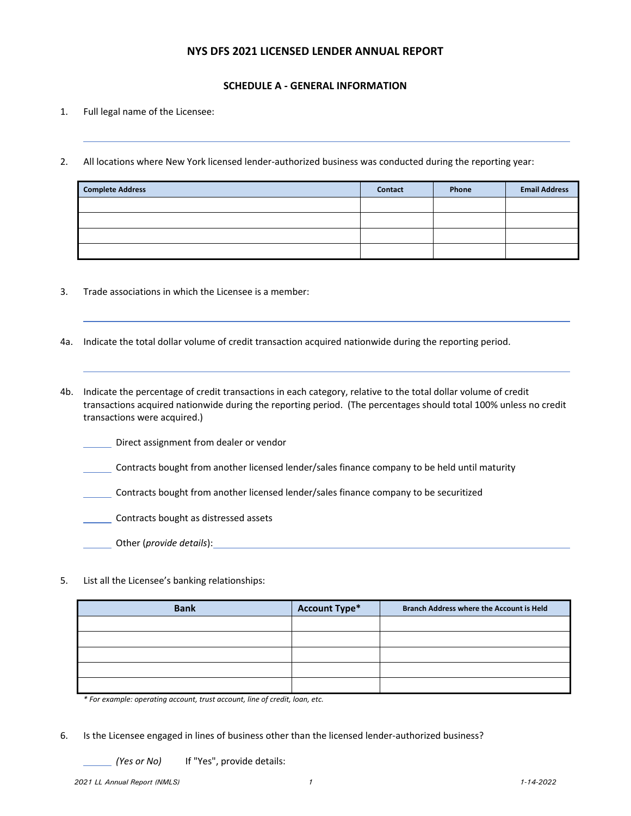#### **NYS DFS 2021 LICENSED LENDER ANNUAL REPORT**

#### **SCHEDULE A ‐ GENERAL INFORMATION**

- 1. Full legal name of the Licensee:
- 2. All locations where New York licensed lender-authorized business was conducted during the reporting year:

| <b>Complete Address</b> | <b>Contact</b> | Phone | <b>Email Address</b> |
|-------------------------|----------------|-------|----------------------|
|                         |                |       |                      |
|                         |                |       |                      |
|                         |                |       |                      |
|                         |                |       |                      |

- 3. Trade associations in which the Licensee is a member:
- 4a. Indicate the total dollar volume of credit transaction acquired nationwide during the reporting period.
- 4b. Indicate the percentage of credit transactions in each category, relative to the total dollar volume of credit transactions acquired nationwide during the reporting period. (The percentages should total 100% unless no credit transactions were acquired.)
	- Direct assignment from dealer or vendor
	- Contracts bought from another licensed lender/sales finance company to be held until maturity
	- Contracts bought from another licensed lender/sales finance company to be securitized
	- **Contracts bought as distressed assets**
	- Other (*provide details*):
- 5. List all the Licensee's banking relationships:

| <b>Bank</b> | <b>Account Type*</b> | <b>Branch Address where the Account is Held</b> |
|-------------|----------------------|-------------------------------------------------|
|             |                      |                                                 |
|             |                      |                                                 |
|             |                      |                                                 |
|             |                      |                                                 |
|             |                      |                                                 |

*\* For example: operating account, trust account, line of credit, loan, etc.*

6. Is the Licensee engaged in lines of business other than the licensed lender‐authorized business?

*(Yes or No)* If "Yes", provide details: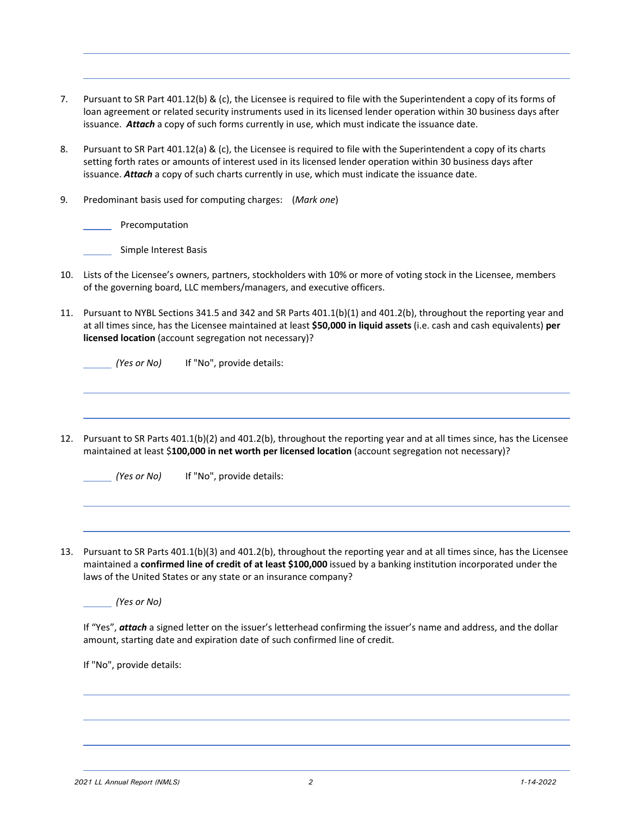| Pursuant to SR Part 401.12(b) & (c), the Licensee is required to file with the Superintendent a copy of its forms of |
|----------------------------------------------------------------------------------------------------------------------|
| loan agreement or related security instruments used in its licensed lender operation within 30 business days after   |
| issuance. Attach a copy of such forms currently in use, which must indicate the issuance date.                       |

- 8. Pursuant to SR Part 401.12(a) & (c), the Licensee is required to file with the Superintendent a copy of its charts setting forth rates or amounts of interest used in its licensed lender operation within 30 business days after issuance. *Attach* a copy of such charts currently in use, which must indicate the issuance date.
- 9. Predominant basis used for computing charges: (*Mark one*)

Precomputation

**Simple Interest Basis** 

- 10. Lists of the Licensee's owners, partners, stockholders with 10% or more of voting stock in the Licensee, members of the governing board, LLC members/managers, and executive officers.
- 11. Pursuant to NYBL Sections 341.5 and 342 and SR Parts 401.1(b)(1) and 401.2(b), throughout the reporting year and at all times since, has the Licensee maintained at least **\$50,000 in liquid assets** (i.e. cash and cash equivalents) **per licensed location** (account segregation not necessary)?

| (Yes or No) | If "No", provide details: |
|-------------|---------------------------|
|             |                           |

12. Pursuant to SR Parts 401.1(b)(2) and 401.2(b), throughout the reporting year and at all times since, has the Licensee maintained at least \$**100,000 in net worth per licensed location** (account segregation not necessary)?

*(Yes or No)* If "No", provide details:

13. Pursuant to SR Parts 401.1(b)(3) and 401.2(b), throughout the reporting year and at all times since, has the Licensee maintained a **confirmed line of credit of at least \$100,000** issued by a banking institution incorporated under the laws of the United States or any state or an insurance company?

*(Yes or No)* 

If "Yes", *attach* a signed letter on the issuer's letterhead confirming the issuer's name and address, and the dollar amount, starting date and expiration date of such confirmed line of credit.

If "No", provide details: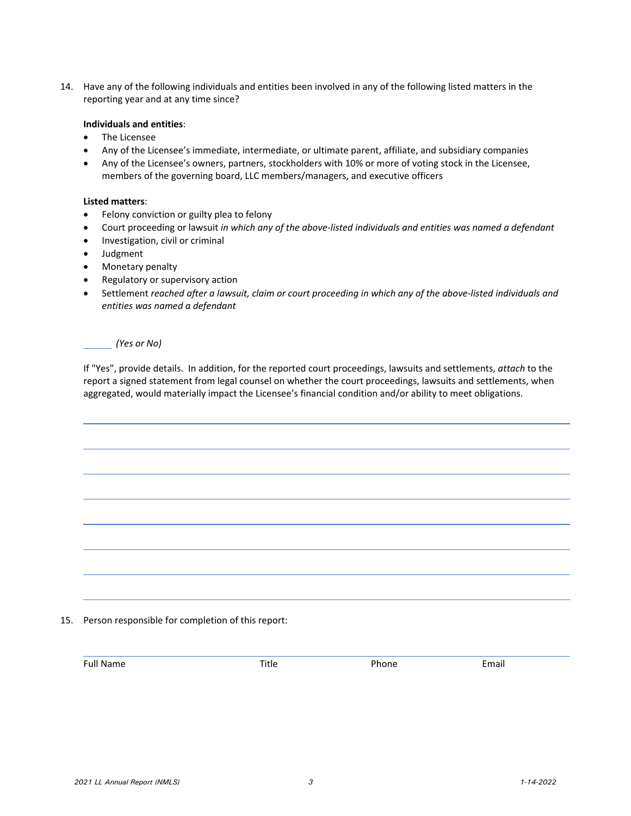14. Have any of the following individuals and entities been involved in any of the following listed matters in the reporting year and at any time since?

#### **Individuals and entities**:

- The Licensee
- Any of the Licensee's immediate, intermediate, or ultimate parent, affiliate, and subsidiary companies
- Any of the Licensee's owners, partners, stockholders with 10% or more of voting stock in the Licensee, members of the governing board, LLC members/managers, and executive officers

#### **Listed matters**:

- Felony conviction or guilty plea to felony
- Court proceeding or lawsuit *in which any of the above‐listed individuals and entities was named a defendant*
- Investigation, civil or criminal
- Judgment
- Monetary penalty
- Regulatory or supervisory action
- Settlement reached after a lawsuit, claim or court proceeding in which any of the above-listed individuals and *entities was named a defendant*

*(Yes or No)* 

If "Yes", provide details. In addition, for the reported court proceedings, lawsuits and settlements, *attach* to the report a signed statement from legal counsel on whether the court proceedings, lawsuits and settlements, when aggregated, would materially impact the Licensee's financial condition and/or ability to meet obligations.

15. Person responsible for completion of this report:

Full Name **Title Phone** Email **Email** 

<u> 1989 - Andrea Santa Andrea Andrea Andrea Andrea Andrea Andrea Andrea Andrea Andrea Andrea Andrea Andrea Andr</u>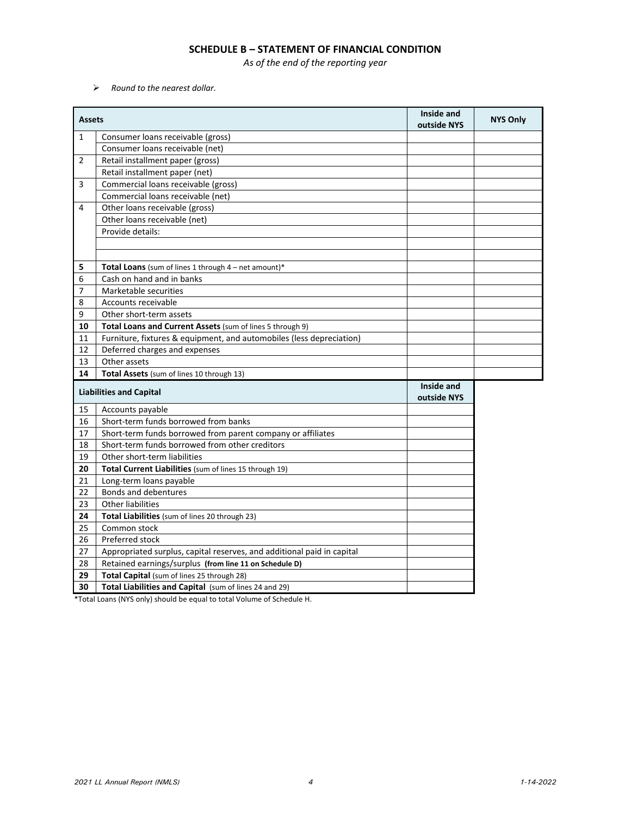#### **SCHEDULE B – STATEMENT OF FINANCIAL CONDITION**

*As of the end of the reporting year*

*Round to the nearest dollar.*

| <b>Assets</b>  |                                                                        | Inside and<br>outside NYS | <b>NYS Only</b> |
|----------------|------------------------------------------------------------------------|---------------------------|-----------------|
| $\mathbf{1}$   | Consumer loans receivable (gross)                                      |                           |                 |
|                | Consumer loans receivable (net)                                        |                           |                 |
| $\overline{2}$ | Retail installment paper (gross)                                       |                           |                 |
|                | Retail installment paper (net)                                         |                           |                 |
| 3              | Commercial loans receivable (gross)                                    |                           |                 |
|                | Commercial loans receivable (net)                                      |                           |                 |
| 4              | Other loans receivable (gross)                                         |                           |                 |
|                | Other loans receivable (net)                                           |                           |                 |
|                | Provide details:                                                       |                           |                 |
|                |                                                                        |                           |                 |
|                |                                                                        |                           |                 |
| 5              | Total Loans (sum of lines 1 through 4 - net amount)*                   |                           |                 |
| 6              | Cash on hand and in banks                                              |                           |                 |
| 7              | Marketable securities                                                  |                           |                 |
| 8              | Accounts receivable                                                    |                           |                 |
| 9              | Other short-term assets                                                |                           |                 |
| 10             | Total Loans and Current Assets (sum of lines 5 through 9)              |                           |                 |
| 11             | Furniture, fixtures & equipment, and automobiles (less depreciation)   |                           |                 |
| 12             | Deferred charges and expenses                                          |                           |                 |
| 13             | Other assets                                                           |                           |                 |
| 14             | Total Assets (sum of lines 10 through 13)                              |                           |                 |
|                | <b>Liabilities and Capital</b>                                         | Inside and<br>outside NYS |                 |
| 15             | Accounts payable                                                       |                           |                 |
| 16             | Short-term funds borrowed from banks                                   |                           |                 |
| 17             | Short-term funds borrowed from parent company or affiliates            |                           |                 |
| 18             | Short-term funds borrowed from other creditors                         |                           |                 |
| 19             | Other short-term liabilities                                           |                           |                 |
| 20             | Total Current Liabilities (sum of lines 15 through 19)                 |                           |                 |
| 21             | Long-term loans payable                                                |                           |                 |
| 22             | Bonds and debentures                                                   |                           |                 |
| 23             | <b>Other liabilities</b>                                               |                           |                 |
| 24             | Total Liabilities (sum of lines 20 through 23)                         |                           |                 |
| 25             | Common stock                                                           |                           |                 |
| 26             | Preferred stock                                                        |                           |                 |
| 27             | Appropriated surplus, capital reserves, and additional paid in capital |                           |                 |
| 28             | Retained earnings/surplus (from line 11 on Schedule D)                 |                           |                 |
| 29             | Total Capital (sum of lines 25 through 28)                             |                           |                 |
| 30             | Total Liabilities and Capital (sum of lines 24 and 29)                 |                           |                 |
|                |                                                                        |                           |                 |

\*Total Loans (NYS only) should be equal to total Volume of Schedule H.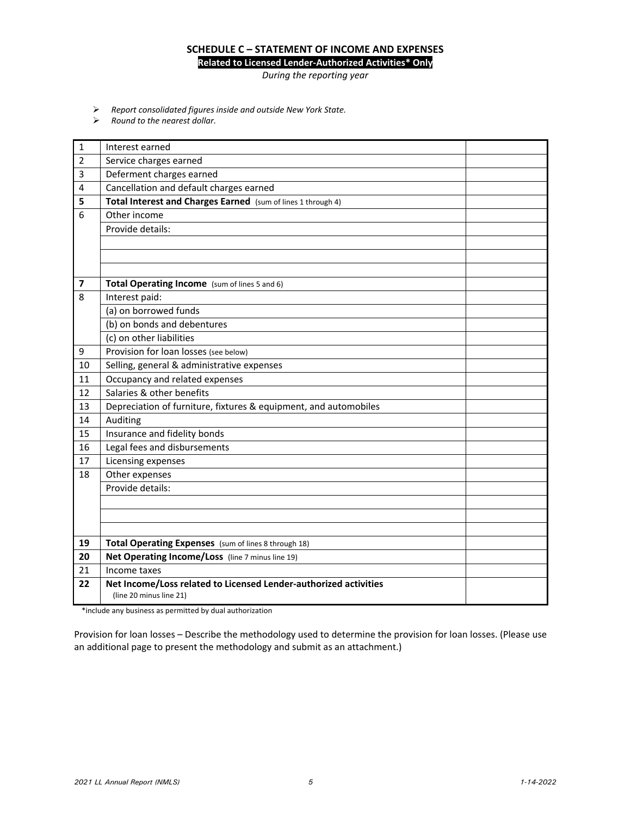#### **SCHEDULE C – STATEMENT OF INCOME AND EXPENSES Related to Licensed Lender‐Authorized Activities\* Only**

*During the reporting year*

- *Report consolidated figures inside and outside New York State.*
- *Round to the nearest dollar.*

| $\mathbf{1}$            | Interest earned                                                                                  |  |
|-------------------------|--------------------------------------------------------------------------------------------------|--|
| 2                       | Service charges earned                                                                           |  |
| 3                       | Deferment charges earned                                                                         |  |
| 4                       | Cancellation and default charges earned                                                          |  |
| 5                       | Total Interest and Charges Earned (sum of lines 1 through 4)                                     |  |
| 6                       | Other income                                                                                     |  |
|                         | Provide details:                                                                                 |  |
|                         |                                                                                                  |  |
|                         |                                                                                                  |  |
|                         |                                                                                                  |  |
| $\overline{\mathbf{z}}$ | Total Operating Income (sum of lines 5 and 6)                                                    |  |
| 8                       | Interest paid:                                                                                   |  |
|                         | (a) on borrowed funds                                                                            |  |
|                         | $\overline{(b)}$ on bonds and debentures                                                         |  |
|                         | (c) on other liabilities                                                                         |  |
| 9                       | Provision for loan losses (see below)                                                            |  |
| 10                      | Selling, general & administrative expenses                                                       |  |
| 11                      | Occupancy and related expenses                                                                   |  |
| 12                      | Salaries & other benefits                                                                        |  |
| 13                      | Depreciation of furniture, fixtures & equipment, and automobiles                                 |  |
| 14                      | Auditing                                                                                         |  |
| 15                      | Insurance and fidelity bonds                                                                     |  |
| 16                      | Legal fees and disbursements                                                                     |  |
| 17                      | Licensing expenses                                                                               |  |
| 18                      | Other expenses                                                                                   |  |
|                         | Provide details:                                                                                 |  |
|                         |                                                                                                  |  |
|                         |                                                                                                  |  |
|                         |                                                                                                  |  |
| 19                      | Total Operating Expenses (sum of lines 8 through 18)                                             |  |
| 20                      | Net Operating Income/Loss (line 7 minus line 19)                                                 |  |
| 21                      | Income taxes                                                                                     |  |
| 22                      | Net Income/Loss related to Licensed Lender-authorized activities<br>(line 20 minus line 21)      |  |
|                         | وبالمستلوث والمرزور المرزام ارتبارا الرميمة ومستواط والمتواصل والمراجع والربيس والرزرا والمتنافذ |  |

\*include any business as permitted by dual authorization

Provision for loan losses – Describe the methodology used to determine the provision for loan losses. (Please use an additional page to present the methodology and submit as an attachment.)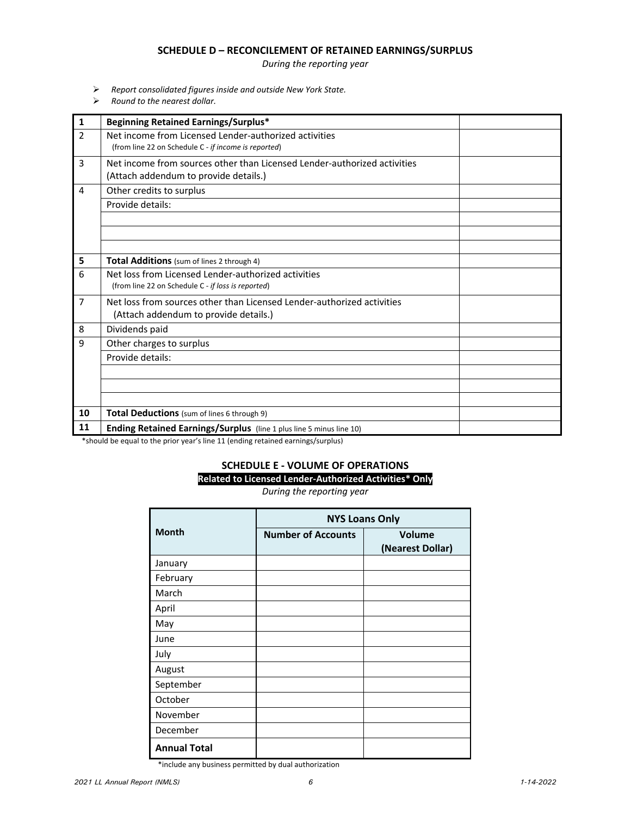#### **SCHEDULE D – RECONCILEMENT OF RETAINED EARNINGS/SURPLUS**

*During the reporting year*

- *Report consolidated figures inside and outside New York State.*
- *Round to the nearest dollar.*

| $\mathbf{1}$   | <b>Beginning Retained Earnings/Surplus*</b>                                                                       |
|----------------|-------------------------------------------------------------------------------------------------------------------|
| $\mathfrak{p}$ | Net income from Licensed Lender-authorized activities<br>(from line 22 on Schedule C - if income is reported)     |
| 3              | Net income from sources other than Licensed Lender-authorized activities<br>(Attach addendum to provide details.) |
| 4              | Other credits to surplus                                                                                          |
|                | Provide details:                                                                                                  |
|                |                                                                                                                   |
|                |                                                                                                                   |
|                |                                                                                                                   |
| 5              | Total Additions (sum of lines 2 through 4)                                                                        |
| 6              | Net loss from Licensed Lender-authorized activities                                                               |
|                | (from line 22 on Schedule C - if loss is reported)                                                                |
| $\overline{7}$ | Net loss from sources other than Licensed Lender-authorized activities                                            |
|                | (Attach addendum to provide details.)                                                                             |
| 8              | Dividends paid                                                                                                    |
| 9              | Other charges to surplus                                                                                          |
|                | Provide details:                                                                                                  |
|                |                                                                                                                   |
|                |                                                                                                                   |
|                |                                                                                                                   |
| 10             | Total Deductions (sum of lines 6 through 9)                                                                       |
| 11             | Ending Retained Earnings/Surplus (line 1 plus line 5 minus line 10)                                               |

\*should be equal to the prior year's line 11 (ending retained earnings/surplus)

#### **SCHEDULE E ‐ VOLUME OF OPERATIONS Related to Licensed Lender‐Authorized Activities\* Only**

*During the reporting year*

|                     |                           | <b>NYS Loans Only</b>      |  |  |  |
|---------------------|---------------------------|----------------------------|--|--|--|
| <b>Month</b>        | <b>Number of Accounts</b> | Volume<br>(Nearest Dollar) |  |  |  |
| January             |                           |                            |  |  |  |
| February            |                           |                            |  |  |  |
| March               |                           |                            |  |  |  |
| April               |                           |                            |  |  |  |
| May                 |                           |                            |  |  |  |
| June                |                           |                            |  |  |  |
| July                |                           |                            |  |  |  |
| August              |                           |                            |  |  |  |
| September           |                           |                            |  |  |  |
| October             |                           |                            |  |  |  |
| November            |                           |                            |  |  |  |
| December            |                           |                            |  |  |  |
| <b>Annual Total</b> |                           |                            |  |  |  |

\*include any business permitted by dual authorization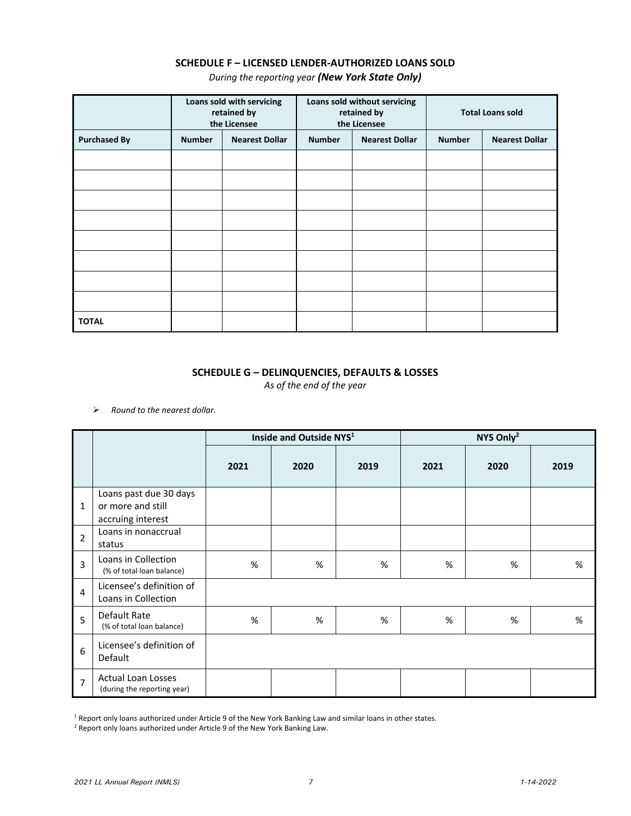# **SCHEDULE F – LICENSED LENDER‐AUTHORIZED LOANS SOLD**

*During the reporting year (New York State Only)*

|                     |               | Loans sold with servicing<br>retained by<br>the Licensee |               | Loans sold without servicing<br>retained by<br>the Licensee |               | <b>Total Loans sold</b> |
|---------------------|---------------|----------------------------------------------------------|---------------|-------------------------------------------------------------|---------------|-------------------------|
| <b>Purchased By</b> | <b>Number</b> | <b>Nearest Dollar</b>                                    | <b>Number</b> | <b>Nearest Dollar</b>                                       | <b>Number</b> | <b>Nearest Dollar</b>   |
|                     |               |                                                          |               |                                                             |               |                         |
|                     |               |                                                          |               |                                                             |               |                         |
|                     |               |                                                          |               |                                                             |               |                         |
|                     |               |                                                          |               |                                                             |               |                         |
|                     |               |                                                          |               |                                                             |               |                         |
|                     |               |                                                          |               |                                                             |               |                         |
|                     |               |                                                          |               |                                                             |               |                         |
|                     |               |                                                          |               |                                                             |               |                         |
| <b>TOTAL</b>        |               |                                                          |               |                                                             |               |                         |

# **SCHEDULE G – DELINQUENCIES, DEFAULTS & LOSSES**

*As of the end of the year*

*Round to the nearest dollar.*

|                |                                                                  | Inside and Outside NYS <sup>1</sup> |      |      | NYS Only <sup>2</sup> |      |      |
|----------------|------------------------------------------------------------------|-------------------------------------|------|------|-----------------------|------|------|
|                |                                                                  | 2021                                | 2020 | 2019 | 2021                  | 2020 | 2019 |
| $\mathbf{1}$   | Loans past due 30 days<br>or more and still<br>accruing interest |                                     |      |      |                       |      |      |
| $\overline{2}$ | Loans in nonaccrual<br>status                                    |                                     |      |      |                       |      |      |
| 3              | Loans in Collection<br>(% of total loan balance)                 | %                                   | %    | %    | %                     | %    | $\%$ |
| 4              | Licensee's definition of<br>Loans in Collection                  |                                     |      |      |                       |      |      |
| 5              | Default Rate<br>(% of total loan balance)                        | $\%$                                | $\%$ | %    | $\%$                  | %    | $\%$ |
| 6              | Licensee's definition of<br>Default                              |                                     |      |      |                       |      |      |
| $\overline{7}$ | Actual Loan Losses<br>(during the reporting year)                |                                     |      |      |                       |      |      |

<sup>1</sup> Report only loans authorized under Article 9 of the New York Banking Law and similar loans in other states.

<sup>2</sup> Report only loans authorized under Article 9 of the New York Banking Law.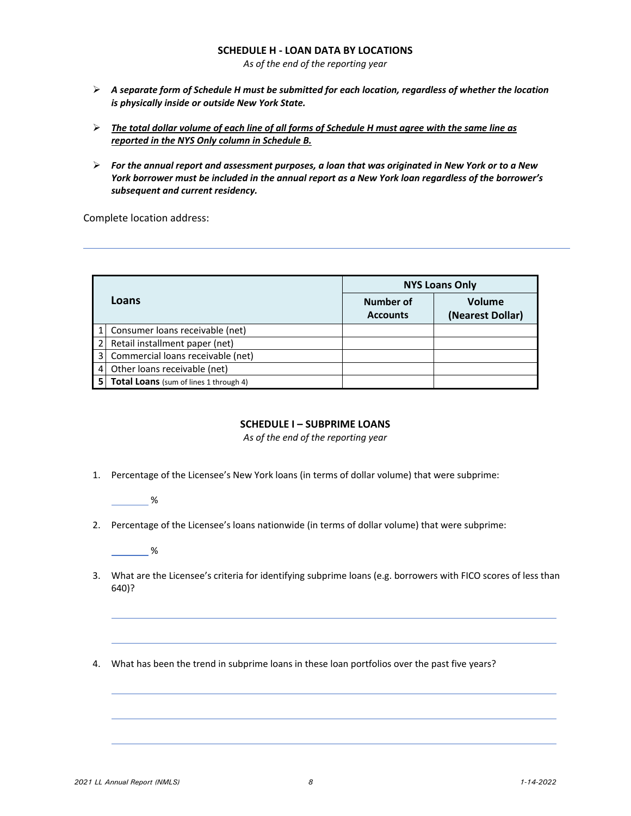#### **SCHEDULE H ‐ LOAN DATA BY LOCATIONS**

*As of the end of the reporting year*

- *A separate form of Schedule H must be submitted for each location, regardless of whether the location is physically inside or outside New York State.*
- $\triangleright$  The total dollar volume of each line of all forms of Schedule H must agree with the same line as *reported in the NYS Only column in Schedule B.*
- $\triangleright$  For the annual report and assessment purposes, a loan that was originated in New York or to a New York borrower must be included in the annual report as a New York loan regardless of the borrower's *subsequent and current residency.*

Complete location address:

|   |                                               |                              | <b>NYS Loans Only</b>      |
|---|-----------------------------------------------|------------------------------|----------------------------|
|   | Loans                                         | Number of<br><b>Accounts</b> | Volume<br>(Nearest Dollar) |
|   | Consumer loans receivable (net)               |                              |                            |
|   | Retail installment paper (net)                |                              |                            |
| 3 | Commercial loans receivable (net)             |                              |                            |
|   | Other loans receivable (net)                  |                              |                            |
|   | <b>Total Loans</b> (sum of lines 1 through 4) |                              |                            |

### **SCHEDULE I – SUBPRIME LOANS**

*As of the end of the reporting year*

- 1. Percentage of the Licensee's New York loans (in terms of dollar volume) that were subprime:
	- %
- 2. Percentage of the Licensee's loans nationwide (in terms of dollar volume) that were subprime:

 $\sim$  %

- 3. What are the Licensee's criteria for identifying subprime loans (e.g. borrowers with FICO scores of less than 640)?
- 4. What has been the trend in subprime loans in these loan portfolios over the past five years?